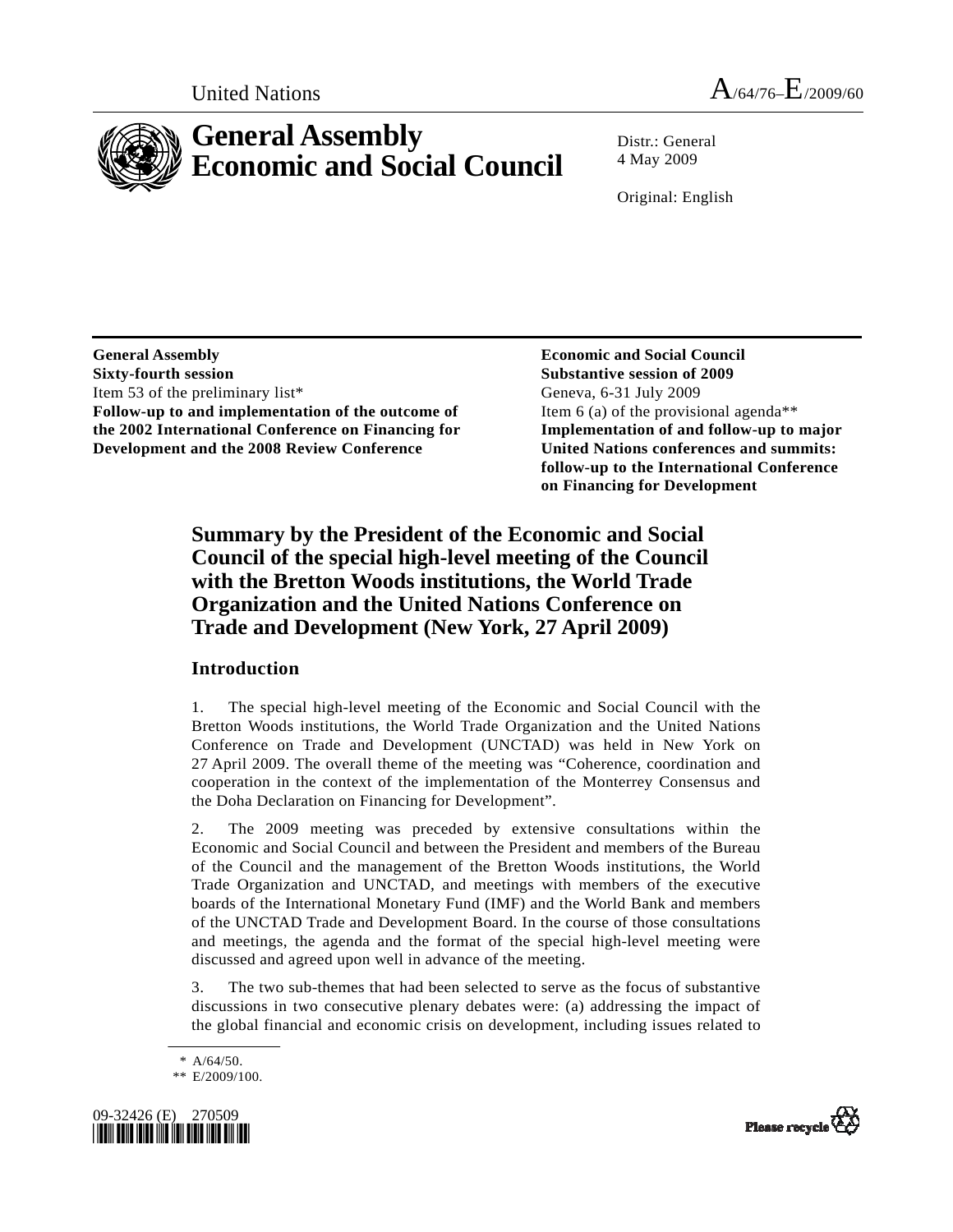



# **General Assembly Economic and Social Council**

Distr · General 4 May 2009

Original: English

**General Assembly Sixty-fourth session**  Item 53 of the preliminary list\* **Follow-up to and implementation of the outcome of the 2002 International Conference on Financing for Development and the 2008 Review Conference** 

 **Economic and Social Council Substantive session of 2009**  Geneva, 6-31 July 2009 Item 6 (a) of the provisional agenda\*\* **Implementation of and follow-up to major United Nations conferences and summits: follow-up to the International Conference on Financing for Development** 

## **Summary by the President of the Economic and Social Council of the special high-level meeting of the Council with the Bretton Woods institutions, the World Trade Organization and the United Nations Conference on Trade and Development (New York, 27 April 2009)**

#### **Introduction**

1. The special high-level meeting of the Economic and Social Council with the Bretton Woods institutions, the World Trade Organization and the United Nations Conference on Trade and Development (UNCTAD) was held in New York on 27 April 2009. The overall theme of the meeting was "Coherence, coordination and cooperation in the context of the implementation of the Monterrey Consensus and the Doha Declaration on Financing for Development".

2. The 2009 meeting was preceded by extensive consultations within the Economic and Social Council and between the President and members of the Bureau of the Council and the management of the Bretton Woods institutions, the World Trade Organization and UNCTAD, and meetings with members of the executive boards of the International Monetary Fund (IMF) and the World Bank and members of the UNCTAD Trade and Development Board. In the course of those consultations and meetings, the agenda and the format of the special high-level meeting were discussed and agreed upon well in advance of the meeting.

3. The two sub-themes that had been selected to serve as the focus of substantive discussions in two consecutive plenary debates were: (a) addressing the impact of the global financial and economic crisis on development, including issues related to

 $* A/64/50.$ 

 <sup>\*\*</sup> E/2009/100.



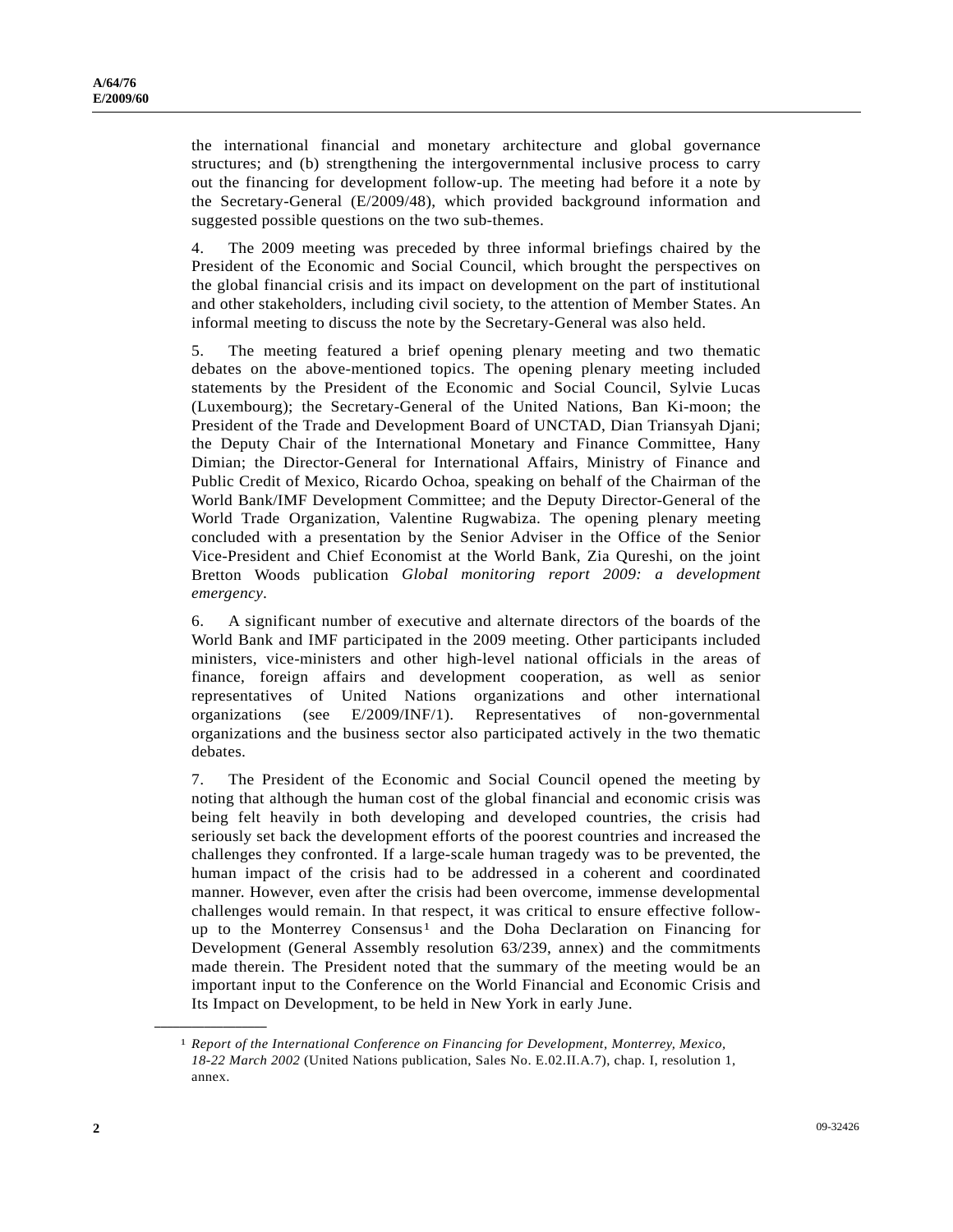the international financial and monetary architecture and global governance structures; and (b) strengthening the intergovernmental inclusive process to carry out the financing for development follow-up. The meeting had before it a note by the Secretary-General (E/2009/48), which provided background information and suggested possible questions on the two sub-themes.

4. The 2009 meeting was preceded by three informal briefings chaired by the President of the Economic and Social Council, which brought the perspectives on the global financial crisis and its impact on development on the part of institutional and other stakeholders, including civil society, to the attention of Member States. An informal meeting to discuss the note by the Secretary-General was also held.

5. The meeting featured a brief opening plenary meeting and two thematic debates on the above-mentioned topics. The opening plenary meeting included statements by the President of the Economic and Social Council, Sylvie Lucas (Luxembourg); the Secretary-General of the United Nations, Ban Ki-moon; the President of the Trade and Development Board of UNCTAD, Dian Triansyah Djani; the Deputy Chair of the International Monetary and Finance Committee, Hany Dimian; the Director-General for International Affairs, Ministry of Finance and Public Credit of Mexico, Ricardo Ochoa, speaking on behalf of the Chairman of the World Bank/IMF Development Committee; and the Deputy Director-General of the World Trade Organization, Valentine Rugwabiza. The opening plenary meeting concluded with a presentation by the Senior Adviser in the Office of the Senior Vice-President and Chief Economist at the World Bank, Zia Qureshi, on the joint Bretton Woods publication *Global monitoring report 2009: a development emergency*.

6. A significant number of executive and alternate directors of the boards of the World Bank and IMF participated in the 2009 meeting. Other participants included ministers, vice-ministers and other high-level national officials in the areas of finance, foreign affairs and development cooperation, as well as senior representatives of United Nations organizations and other international organizations (see E/2009/INF/1). Representatives of non-governmental organizations and the business sector also participated actively in the two thematic debates.

7. The President of the Economic and Social Council opened the meeting by noting that although the human cost of the global financial and economic crisis was being felt heavily in both developing and developed countries, the crisis had seriously set back the development efforts of the poorest countries and increased the challenges they confronted. If a large-scale human tragedy was to be prevented, the human impact of the crisis had to be addressed in a coherent and coordinated manner. However, even after the crisis had been overcome, immense developmental challenges would remain. In that respect, it was critical to ensure effective follow-up to the Monterrey Consensus<sup>[1](#page-1-0)</sup> and the Doha Declaration on Financing for Development (General Assembly resolution 63/239, annex) and the commitments made therein. The President noted that the summary of the meeting would be an important input to the Conference on the World Financial and Economic Crisis and Its Impact on Development, to be held in New York in early June.

<span id="page-1-0"></span>**\_\_\_\_\_\_\_\_\_\_\_\_\_\_\_\_\_\_** 

<sup>1</sup> *Report of the International Conference on Financing for Development, Monterrey, Mexico, 18-22 March 2002* (United Nations publication, Sales No. E.02.II.A.7), chap. I, resolution 1, annex.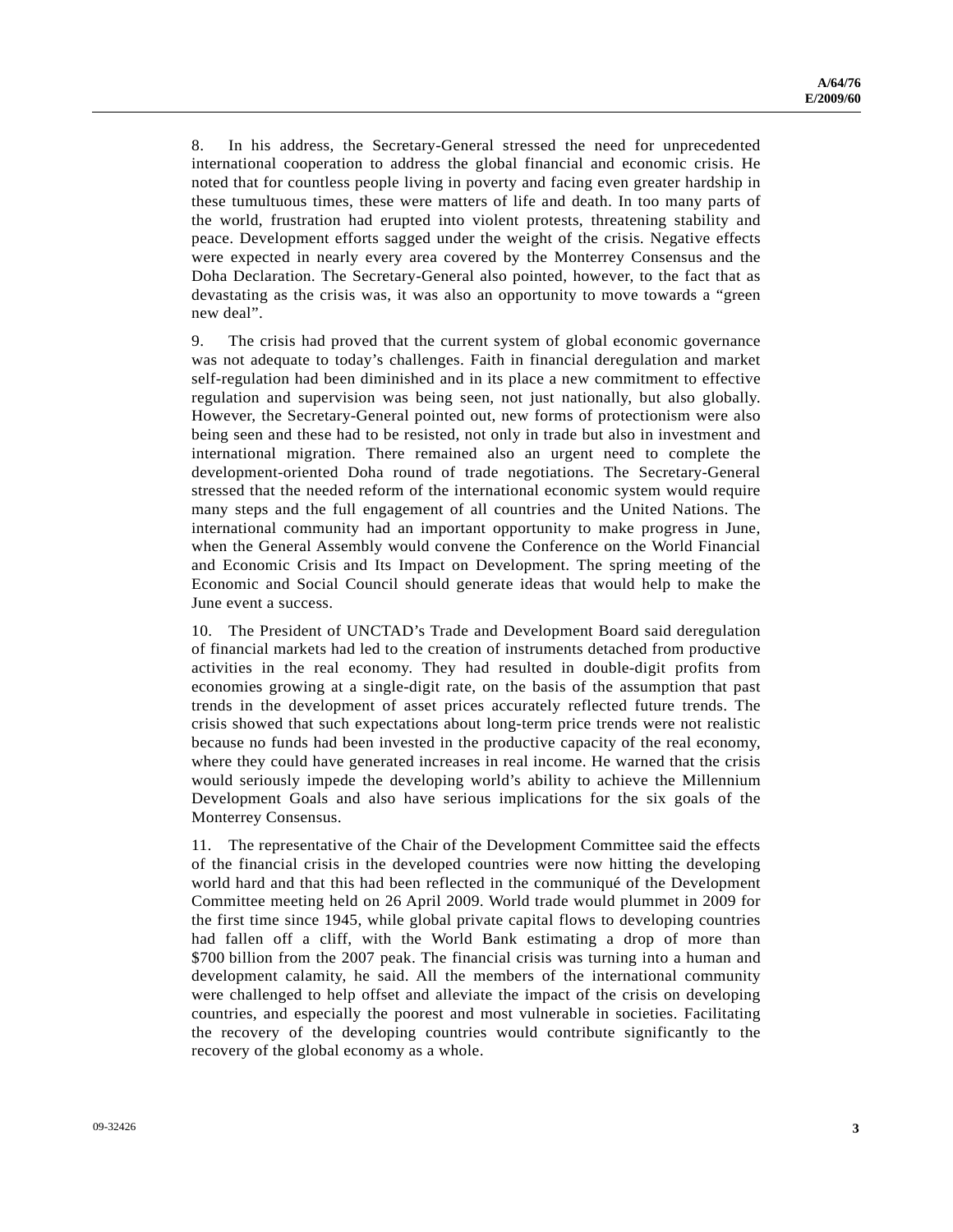8. In his address, the Secretary-General stressed the need for unprecedented international cooperation to address the global financial and economic crisis. He noted that for countless people living in poverty and facing even greater hardship in these tumultuous times, these were matters of life and death. In too many parts of the world, frustration had erupted into violent protests, threatening stability and peace. Development efforts sagged under the weight of the crisis. Negative effects were expected in nearly every area covered by the Monterrey Consensus and the Doha Declaration. The Secretary-General also pointed, however, to the fact that as devastating as the crisis was, it was also an opportunity to move towards a "green new deal".

9. The crisis had proved that the current system of global economic governance was not adequate to today's challenges. Faith in financial deregulation and market self-regulation had been diminished and in its place a new commitment to effective regulation and supervision was being seen, not just nationally, but also globally. However, the Secretary-General pointed out, new forms of protectionism were also being seen and these had to be resisted, not only in trade but also in investment and international migration. There remained also an urgent need to complete the development-oriented Doha round of trade negotiations. The Secretary-General stressed that the needed reform of the international economic system would require many steps and the full engagement of all countries and the United Nations. The international community had an important opportunity to make progress in June, when the General Assembly would convene the Conference on the World Financial and Economic Crisis and Its Impact on Development. The spring meeting of the Economic and Social Council should generate ideas that would help to make the June event a success.

10. The President of UNCTAD's Trade and Development Board said deregulation of financial markets had led to the creation of instruments detached from productive activities in the real economy. They had resulted in double-digit profits from economies growing at a single-digit rate, on the basis of the assumption that past trends in the development of asset prices accurately reflected future trends. The crisis showed that such expectations about long-term price trends were not realistic because no funds had been invested in the productive capacity of the real economy, where they could have generated increases in real income. He warned that the crisis would seriously impede the developing world's ability to achieve the Millennium Development Goals and also have serious implications for the six goals of the Monterrey Consensus.

11. The representative of the Chair of the Development Committee said the effects of the financial crisis in the developed countries were now hitting the developing world hard and that this had been reflected in the communiqué of the Development Committee meeting held on 26 April 2009. World trade would plummet in 2009 for the first time since 1945, while global private capital flows to developing countries had fallen off a cliff, with the World Bank estimating a drop of more than \$700 billion from the 2007 peak. The financial crisis was turning into a human and development calamity, he said. All the members of the international community were challenged to help offset and alleviate the impact of the crisis on developing countries, and especially the poorest and most vulnerable in societies. Facilitating the recovery of the developing countries would contribute significantly to the recovery of the global economy as a whole.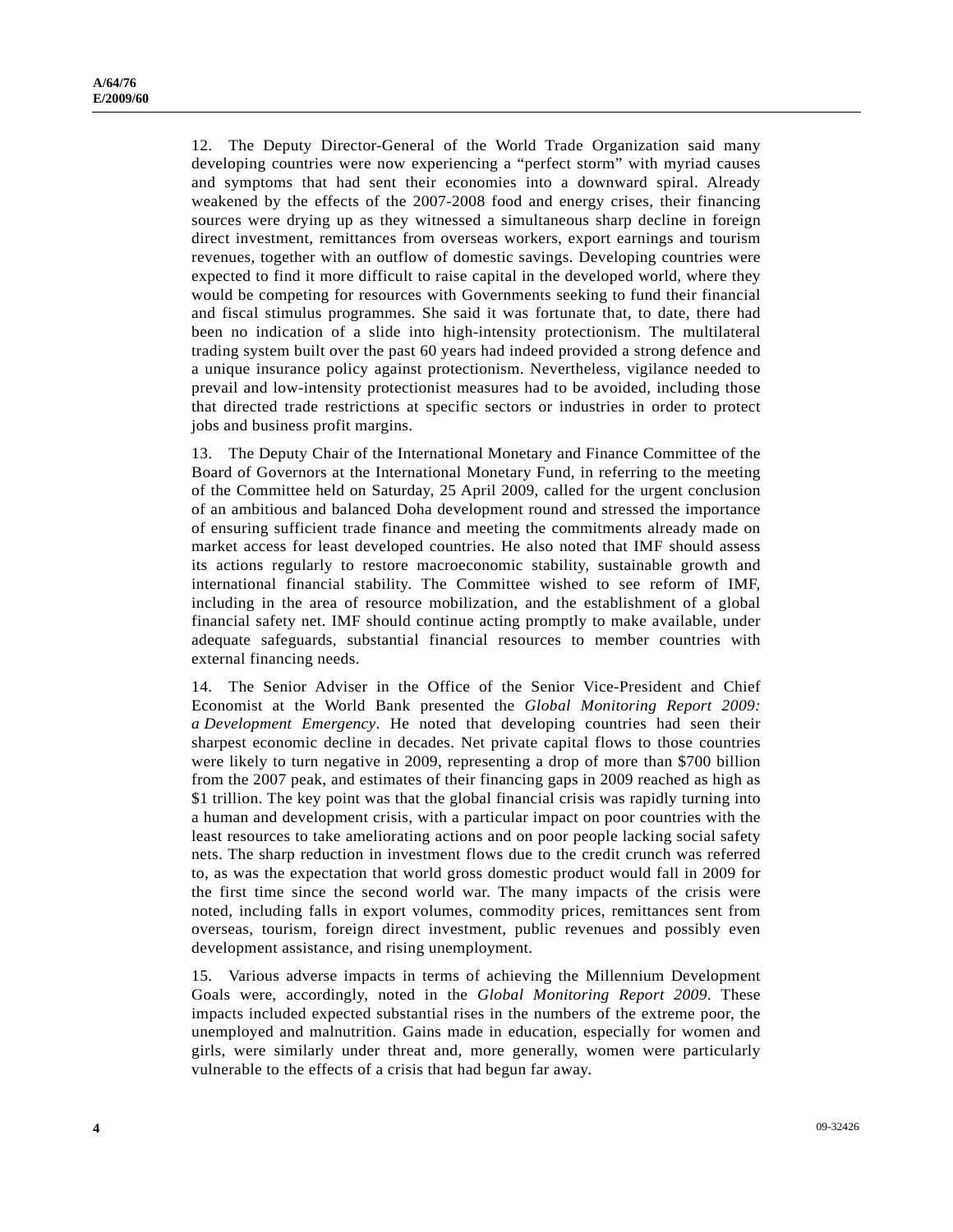12. The Deputy Director-General of the World Trade Organization said many developing countries were now experiencing a "perfect storm" with myriad causes and symptoms that had sent their economies into a downward spiral. Already weakened by the effects of the 2007-2008 food and energy crises, their financing sources were drying up as they witnessed a simultaneous sharp decline in foreign direct investment, remittances from overseas workers, export earnings and tourism revenues, together with an outflow of domestic savings. Developing countries were expected to find it more difficult to raise capital in the developed world, where they would be competing for resources with Governments seeking to fund their financial and fiscal stimulus programmes. She said it was fortunate that, to date, there had been no indication of a slide into high-intensity protectionism. The multilateral trading system built over the past 60 years had indeed provided a strong defence and a unique insurance policy against protectionism. Nevertheless, vigilance needed to prevail and low-intensity protectionist measures had to be avoided, including those that directed trade restrictions at specific sectors or industries in order to protect jobs and business profit margins.

13. The Deputy Chair of the International Monetary and Finance Committee of the Board of Governors at the International Monetary Fund, in referring to the meeting of the Committee held on Saturday, 25 April 2009, called for the urgent conclusion of an ambitious and balanced Doha development round and stressed the importance of ensuring sufficient trade finance and meeting the commitments already made on market access for least developed countries. He also noted that IMF should assess its actions regularly to restore macroeconomic stability, sustainable growth and international financial stability. The Committee wished to see reform of IMF, including in the area of resource mobilization, and the establishment of a global financial safety net. IMF should continue acting promptly to make available, under adequate safeguards, substantial financial resources to member countries with external financing needs.

14. The Senior Adviser in the Office of the Senior Vice-President and Chief Economist at the World Bank presented the *Global Monitoring Report 2009: a Development Emergency*. He noted that developing countries had seen their sharpest economic decline in decades. Net private capital flows to those countries were likely to turn negative in 2009, representing a drop of more than \$700 billion from the 2007 peak, and estimates of their financing gaps in 2009 reached as high as \$1 trillion. The key point was that the global financial crisis was rapidly turning into a human and development crisis, with a particular impact on poor countries with the least resources to take ameliorating actions and on poor people lacking social safety nets. The sharp reduction in investment flows due to the credit crunch was referred to, as was the expectation that world gross domestic product would fall in 2009 for the first time since the second world war. The many impacts of the crisis were noted, including falls in export volumes, commodity prices, remittances sent from overseas, tourism, foreign direct investment, public revenues and possibly even development assistance, and rising unemployment.

15. Various adverse impacts in terms of achieving the Millennium Development Goals were, accordingly, noted in the *Global Monitoring Report 2009*. These impacts included expected substantial rises in the numbers of the extreme poor, the unemployed and malnutrition. Gains made in education, especially for women and girls, were similarly under threat and, more generally, women were particularly vulnerable to the effects of a crisis that had begun far away.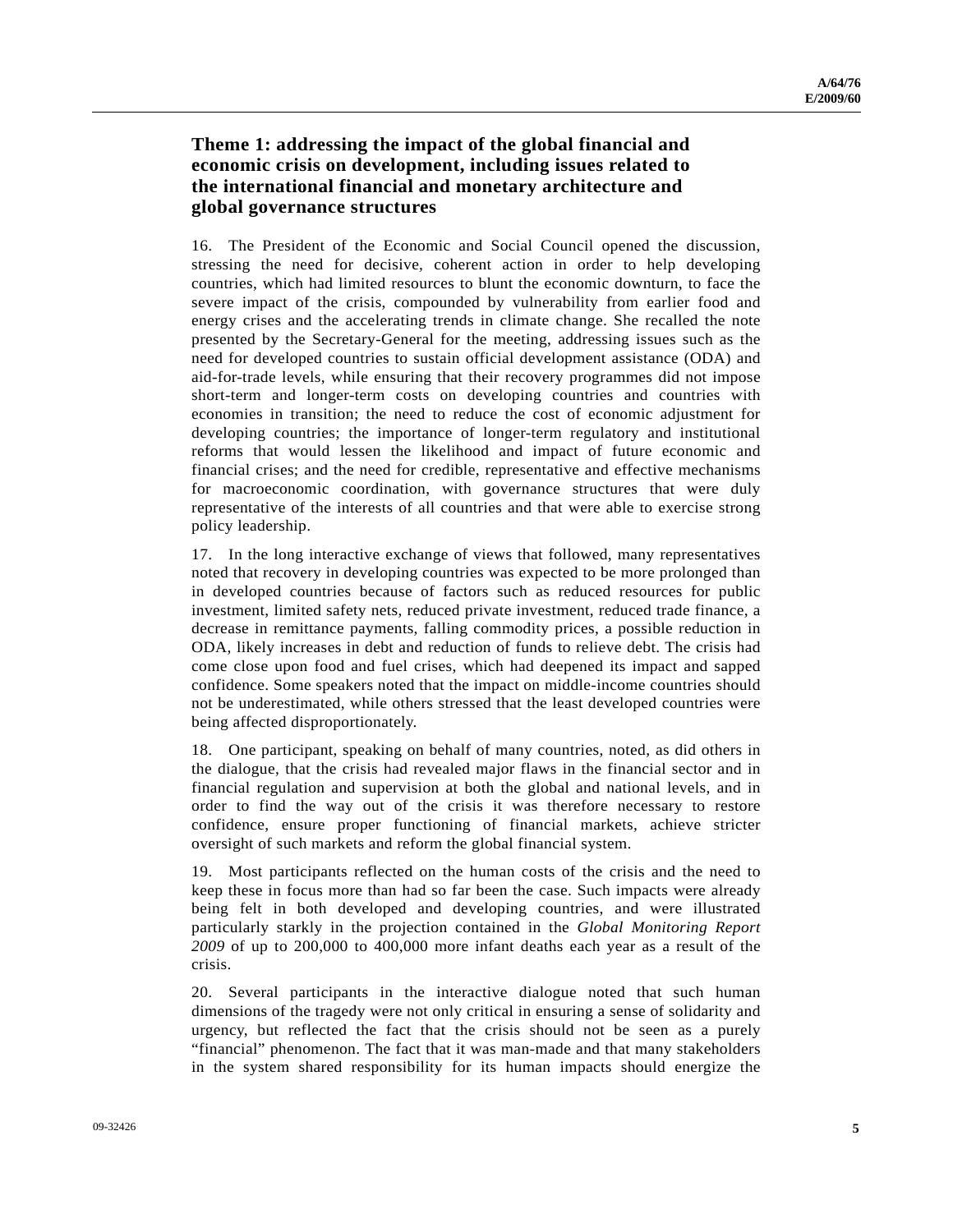### **Theme 1: addressing the impact of the global financial and economic crisis on development, including issues related to the international financial and monetary architecture and global governance structures**

16. The President of the Economic and Social Council opened the discussion, stressing the need for decisive, coherent action in order to help developing countries, which had limited resources to blunt the economic downturn, to face the severe impact of the crisis, compounded by vulnerability from earlier food and energy crises and the accelerating trends in climate change. She recalled the note presented by the Secretary-General for the meeting, addressing issues such as the need for developed countries to sustain official development assistance (ODA) and aid-for-trade levels, while ensuring that their recovery programmes did not impose short-term and longer-term costs on developing countries and countries with economies in transition; the need to reduce the cost of economic adjustment for developing countries; the importance of longer-term regulatory and institutional reforms that would lessen the likelihood and impact of future economic and financial crises; and the need for credible, representative and effective mechanisms for macroeconomic coordination, with governance structures that were duly representative of the interests of all countries and that were able to exercise strong policy leadership.

17. In the long interactive exchange of views that followed, many representatives noted that recovery in developing countries was expected to be more prolonged than in developed countries because of factors such as reduced resources for public investment, limited safety nets, reduced private investment, reduced trade finance, a decrease in remittance payments, falling commodity prices, a possible reduction in ODA, likely increases in debt and reduction of funds to relieve debt. The crisis had come close upon food and fuel crises, which had deepened its impact and sapped confidence. Some speakers noted that the impact on middle-income countries should not be underestimated, while others stressed that the least developed countries were being affected disproportionately.

18. One participant, speaking on behalf of many countries, noted, as did others in the dialogue, that the crisis had revealed major flaws in the financial sector and in financial regulation and supervision at both the global and national levels, and in order to find the way out of the crisis it was therefore necessary to restore confidence, ensure proper functioning of financial markets, achieve stricter oversight of such markets and reform the global financial system.

19. Most participants reflected on the human costs of the crisis and the need to keep these in focus more than had so far been the case. Such impacts were already being felt in both developed and developing countries, and were illustrated particularly starkly in the projection contained in the *Global Monitoring Report 2009* of up to 200,000 to 400,000 more infant deaths each year as a result of the crisis.

20. Several participants in the interactive dialogue noted that such human dimensions of the tragedy were not only critical in ensuring a sense of solidarity and urgency, but reflected the fact that the crisis should not be seen as a purely "financial" phenomenon. The fact that it was man-made and that many stakeholders in the system shared responsibility for its human impacts should energize the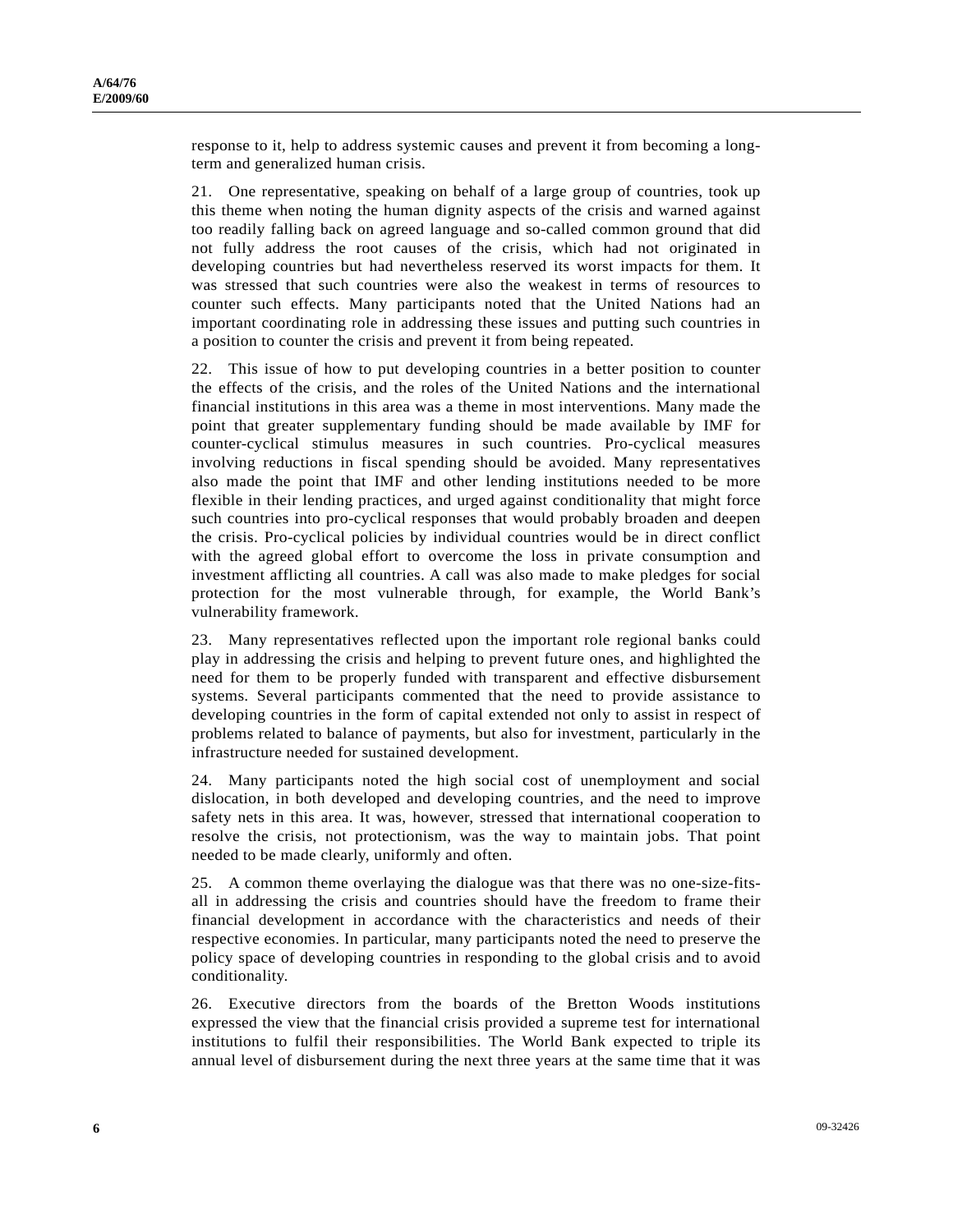response to it, help to address systemic causes and prevent it from becoming a longterm and generalized human crisis.

21. One representative, speaking on behalf of a large group of countries, took up this theme when noting the human dignity aspects of the crisis and warned against too readily falling back on agreed language and so-called common ground that did not fully address the root causes of the crisis, which had not originated in developing countries but had nevertheless reserved its worst impacts for them. It was stressed that such countries were also the weakest in terms of resources to counter such effects. Many participants noted that the United Nations had an important coordinating role in addressing these issues and putting such countries in a position to counter the crisis and prevent it from being repeated.

22. This issue of how to put developing countries in a better position to counter the effects of the crisis, and the roles of the United Nations and the international financial institutions in this area was a theme in most interventions. Many made the point that greater supplementary funding should be made available by IMF for counter-cyclical stimulus measures in such countries. Pro-cyclical measures involving reductions in fiscal spending should be avoided. Many representatives also made the point that IMF and other lending institutions needed to be more flexible in their lending practices, and urged against conditionality that might force such countries into pro-cyclical responses that would probably broaden and deepen the crisis. Pro-cyclical policies by individual countries would be in direct conflict with the agreed global effort to overcome the loss in private consumption and investment afflicting all countries. A call was also made to make pledges for social protection for the most vulnerable through, for example, the World Bank's vulnerability framework.

23. Many representatives reflected upon the important role regional banks could play in addressing the crisis and helping to prevent future ones, and highlighted the need for them to be properly funded with transparent and effective disbursement systems. Several participants commented that the need to provide assistance to developing countries in the form of capital extended not only to assist in respect of problems related to balance of payments, but also for investment, particularly in the infrastructure needed for sustained development.

24. Many participants noted the high social cost of unemployment and social dislocation, in both developed and developing countries, and the need to improve safety nets in this area. It was, however, stressed that international cooperation to resolve the crisis, not protectionism, was the way to maintain jobs. That point needed to be made clearly, uniformly and often.

25. A common theme overlaying the dialogue was that there was no one-size-fitsall in addressing the crisis and countries should have the freedom to frame their financial development in accordance with the characteristics and needs of their respective economies. In particular, many participants noted the need to preserve the policy space of developing countries in responding to the global crisis and to avoid conditionality.

26. Executive directors from the boards of the Bretton Woods institutions expressed the view that the financial crisis provided a supreme test for international institutions to fulfil their responsibilities. The World Bank expected to triple its annual level of disbursement during the next three years at the same time that it was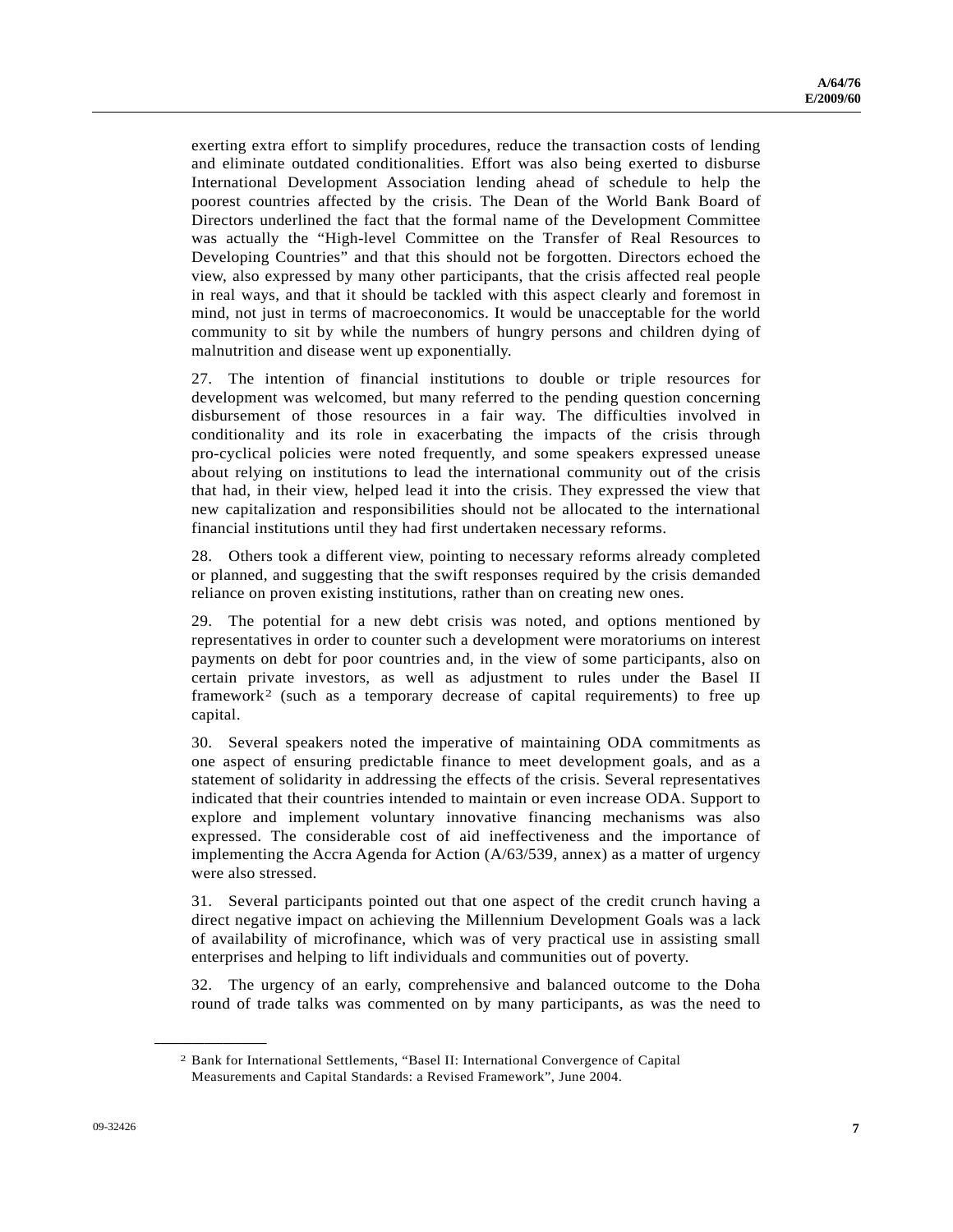exerting extra effort to simplify procedures, reduce the transaction costs of lending and eliminate outdated conditionalities. Effort was also being exerted to disburse International Development Association lending ahead of schedule to help the poorest countries affected by the crisis. The Dean of the World Bank Board of Directors underlined the fact that the formal name of the Development Committee was actually the "High-level Committee on the Transfer of Real Resources to Developing Countries" and that this should not be forgotten. Directors echoed the view, also expressed by many other participants, that the crisis affected real people in real ways, and that it should be tackled with this aspect clearly and foremost in mind, not just in terms of macroeconomics. It would be unacceptable for the world community to sit by while the numbers of hungry persons and children dying of malnutrition and disease went up exponentially.

27. The intention of financial institutions to double or triple resources for development was welcomed, but many referred to the pending question concerning disbursement of those resources in a fair way. The difficulties involved in conditionality and its role in exacerbating the impacts of the crisis through pro-cyclical policies were noted frequently, and some speakers expressed unease about relying on institutions to lead the international community out of the crisis that had, in their view, helped lead it into the crisis. They expressed the view that new capitalization and responsibilities should not be allocated to the international financial institutions until they had first undertaken necessary reforms.

28. Others took a different view, pointing to necessary reforms already completed or planned, and suggesting that the swift responses required by the crisis demanded reliance on proven existing institutions, rather than on creating new ones.

29. The potential for a new debt crisis was noted, and options mentioned by representatives in order to counter such a development were moratoriums on interest payments on debt for poor countries and, in the view of some participants, also on certain private investors, as well as adjustment to rules under the Basel II framework[2](#page-6-0) (such as a temporary decrease of capital requirements) to free up capital.

30. Several speakers noted the imperative of maintaining ODA commitments as one aspect of ensuring predictable finance to meet development goals, and as a statement of solidarity in addressing the effects of the crisis. Several representatives indicated that their countries intended to maintain or even increase ODA. Support to explore and implement voluntary innovative financing mechanisms was also expressed. The considerable cost of aid ineffectiveness and the importance of implementing the Accra Agenda for Action (A/63/539, annex) as a matter of urgency were also stressed.

31. Several participants pointed out that one aspect of the credit crunch having a direct negative impact on achieving the Millennium Development Goals was a lack of availability of microfinance, which was of very practical use in assisting small enterprises and helping to lift individuals and communities out of poverty.

32. The urgency of an early, comprehensive and balanced outcome to the Doha round of trade talks was commented on by many participants, as was the need to

<span id="page-6-0"></span>**\_\_\_\_\_\_\_\_\_\_\_\_\_\_\_\_\_\_** 

<sup>2</sup> Bank for International Settlements, "Basel II: International Convergence of Capital Measurements and Capital Standards: a Revised Framework", June 2004.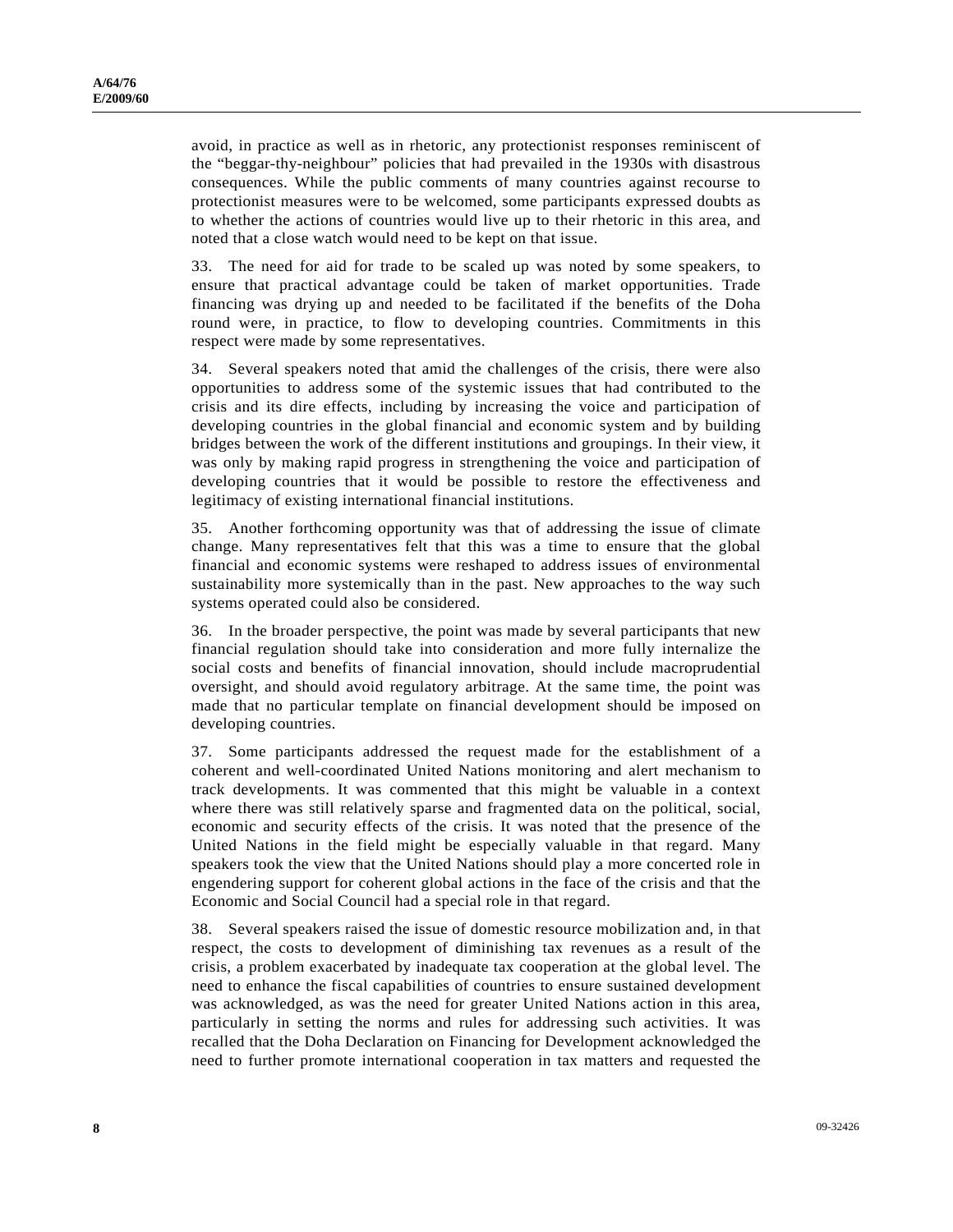avoid, in practice as well as in rhetoric, any protectionist responses reminiscent of the "beggar-thy-neighbour" policies that had prevailed in the 1930s with disastrous consequences. While the public comments of many countries against recourse to protectionist measures were to be welcomed, some participants expressed doubts as to whether the actions of countries would live up to their rhetoric in this area, and noted that a close watch would need to be kept on that issue.

33. The need for aid for trade to be scaled up was noted by some speakers, to ensure that practical advantage could be taken of market opportunities. Trade financing was drying up and needed to be facilitated if the benefits of the Doha round were, in practice, to flow to developing countries. Commitments in this respect were made by some representatives.

34. Several speakers noted that amid the challenges of the crisis, there were also opportunities to address some of the systemic issues that had contributed to the crisis and its dire effects, including by increasing the voice and participation of developing countries in the global financial and economic system and by building bridges between the work of the different institutions and groupings. In their view, it was only by making rapid progress in strengthening the voice and participation of developing countries that it would be possible to restore the effectiveness and legitimacy of existing international financial institutions.

35. Another forthcoming opportunity was that of addressing the issue of climate change. Many representatives felt that this was a time to ensure that the global financial and economic systems were reshaped to address issues of environmental sustainability more systemically than in the past. New approaches to the way such systems operated could also be considered.

36. In the broader perspective, the point was made by several participants that new financial regulation should take into consideration and more fully internalize the social costs and benefits of financial innovation, should include macroprudential oversight, and should avoid regulatory arbitrage. At the same time, the point was made that no particular template on financial development should be imposed on developing countries.

37. Some participants addressed the request made for the establishment of a coherent and well-coordinated United Nations monitoring and alert mechanism to track developments. It was commented that this might be valuable in a context where there was still relatively sparse and fragmented data on the political, social, economic and security effects of the crisis. It was noted that the presence of the United Nations in the field might be especially valuable in that regard. Many speakers took the view that the United Nations should play a more concerted role in engendering support for coherent global actions in the face of the crisis and that the Economic and Social Council had a special role in that regard.

38. Several speakers raised the issue of domestic resource mobilization and, in that respect, the costs to development of diminishing tax revenues as a result of the crisis, a problem exacerbated by inadequate tax cooperation at the global level. The need to enhance the fiscal capabilities of countries to ensure sustained development was acknowledged, as was the need for greater United Nations action in this area, particularly in setting the norms and rules for addressing such activities. It was recalled that the Doha Declaration on Financing for Development acknowledged the need to further promote international cooperation in tax matters and requested the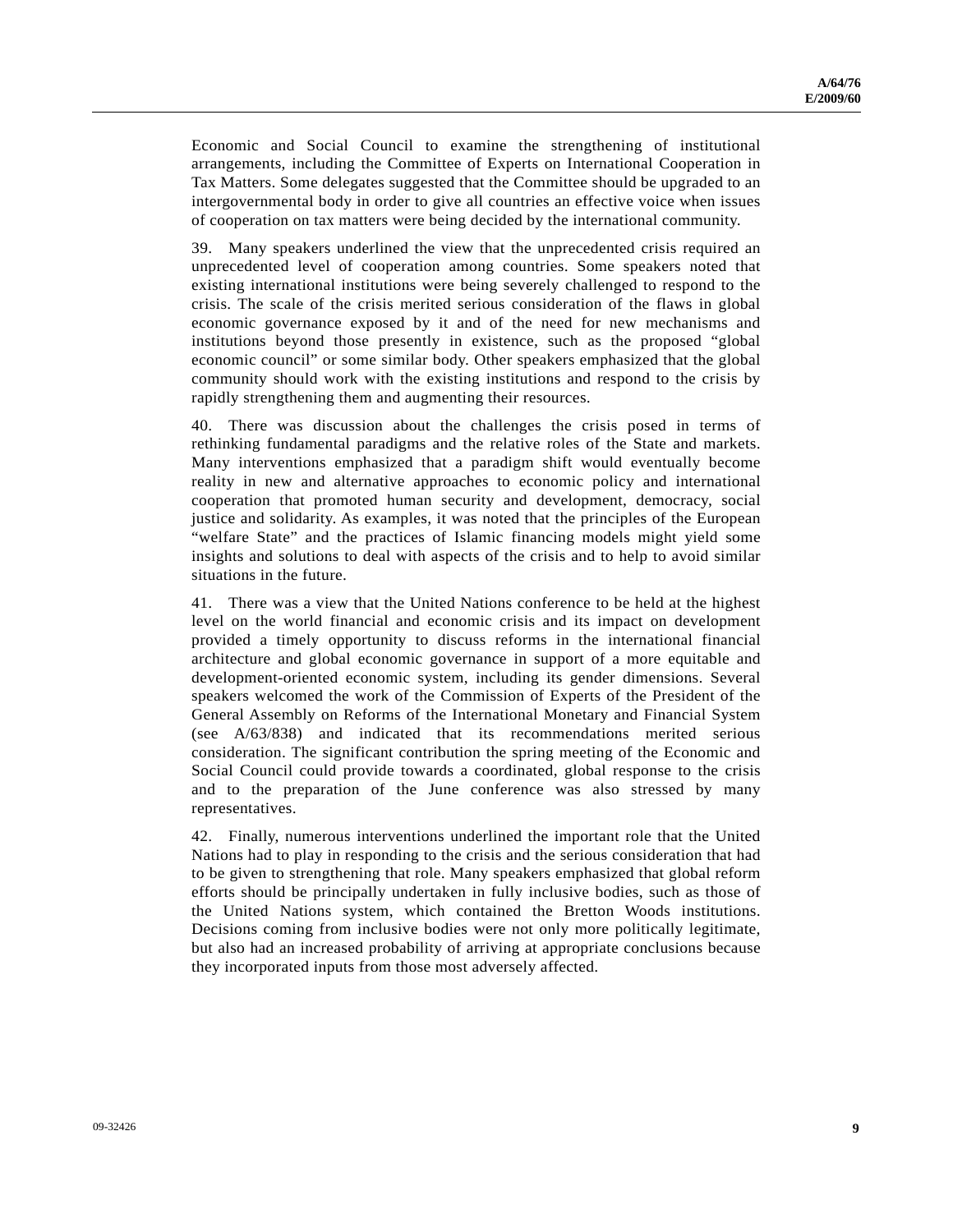Economic and Social Council to examine the strengthening of institutional arrangements, including the Committee of Experts on International Cooperation in Tax Matters. Some delegates suggested that the Committee should be upgraded to an intergovernmental body in order to give all countries an effective voice when issues of cooperation on tax matters were being decided by the international community.

39. Many speakers underlined the view that the unprecedented crisis required an unprecedented level of cooperation among countries. Some speakers noted that existing international institutions were being severely challenged to respond to the crisis. The scale of the crisis merited serious consideration of the flaws in global economic governance exposed by it and of the need for new mechanisms and institutions beyond those presently in existence, such as the proposed "global economic council" or some similar body. Other speakers emphasized that the global community should work with the existing institutions and respond to the crisis by rapidly strengthening them and augmenting their resources.

40. There was discussion about the challenges the crisis posed in terms of rethinking fundamental paradigms and the relative roles of the State and markets. Many interventions emphasized that a paradigm shift would eventually become reality in new and alternative approaches to economic policy and international cooperation that promoted human security and development, democracy, social justice and solidarity. As examples, it was noted that the principles of the European "welfare State" and the practices of Islamic financing models might yield some insights and solutions to deal with aspects of the crisis and to help to avoid similar situations in the future.

41. There was a view that the United Nations conference to be held at the highest level on the world financial and economic crisis and its impact on development provided a timely opportunity to discuss reforms in the international financial architecture and global economic governance in support of a more equitable and development-oriented economic system, including its gender dimensions. Several speakers welcomed the work of the Commission of Experts of the President of the General Assembly on Reforms of the International Monetary and Financial System (see A/63/838) and indicated that its recommendations merited serious consideration. The significant contribution the spring meeting of the Economic and Social Council could provide towards a coordinated, global response to the crisis and to the preparation of the June conference was also stressed by many representatives.

42. Finally, numerous interventions underlined the important role that the United Nations had to play in responding to the crisis and the serious consideration that had to be given to strengthening that role. Many speakers emphasized that global reform efforts should be principally undertaken in fully inclusive bodies, such as those of the United Nations system, which contained the Bretton Woods institutions. Decisions coming from inclusive bodies were not only more politically legitimate, but also had an increased probability of arriving at appropriate conclusions because they incorporated inputs from those most adversely affected.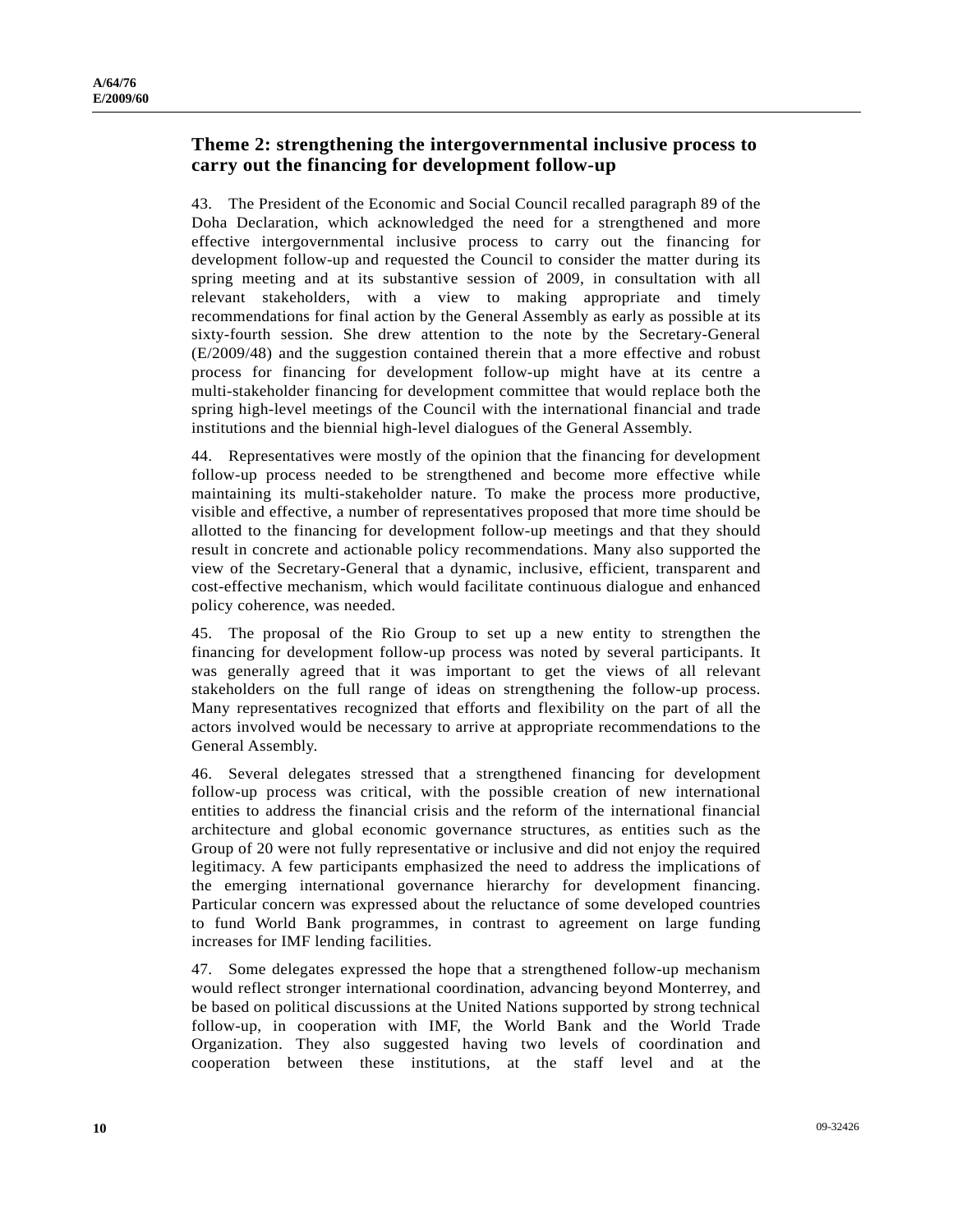### **Theme 2: strengthening the intergovernmental inclusive process to carry out the financing for development follow-up**

43. The President of the Economic and Social Council recalled paragraph 89 of the Doha Declaration, which acknowledged the need for a strengthened and more effective intergovernmental inclusive process to carry out the financing for development follow-up and requested the Council to consider the matter during its spring meeting and at its substantive session of 2009, in consultation with all relevant stakeholders, with a view to making appropriate and timely recommendations for final action by the General Assembly as early as possible at its sixty-fourth session. She drew attention to the note by the Secretary-General (E/2009/48) and the suggestion contained therein that a more effective and robust process for financing for development follow-up might have at its centre a multi-stakeholder financing for development committee that would replace both the spring high-level meetings of the Council with the international financial and trade institutions and the biennial high-level dialogues of the General Assembly.

44. Representatives were mostly of the opinion that the financing for development follow-up process needed to be strengthened and become more effective while maintaining its multi-stakeholder nature. To make the process more productive, visible and effective, a number of representatives proposed that more time should be allotted to the financing for development follow-up meetings and that they should result in concrete and actionable policy recommendations. Many also supported the view of the Secretary-General that a dynamic, inclusive, efficient, transparent and cost-effective mechanism, which would facilitate continuous dialogue and enhanced policy coherence, was needed.

45. The proposal of the Rio Group to set up a new entity to strengthen the financing for development follow-up process was noted by several participants. It was generally agreed that it was important to get the views of all relevant stakeholders on the full range of ideas on strengthening the follow-up process. Many representatives recognized that efforts and flexibility on the part of all the actors involved would be necessary to arrive at appropriate recommendations to the General Assembly.

46. Several delegates stressed that a strengthened financing for development follow-up process was critical, with the possible creation of new international entities to address the financial crisis and the reform of the international financial architecture and global economic governance structures, as entities such as the Group of 20 were not fully representative or inclusive and did not enjoy the required legitimacy. A few participants emphasized the need to address the implications of the emerging international governance hierarchy for development financing. Particular concern was expressed about the reluctance of some developed countries to fund World Bank programmes, in contrast to agreement on large funding increases for IMF lending facilities.

47. Some delegates expressed the hope that a strengthened follow-up mechanism would reflect stronger international coordination, advancing beyond Monterrey, and be based on political discussions at the United Nations supported by strong technical follow-up, in cooperation with IMF, the World Bank and the World Trade Organization. They also suggested having two levels of coordination and cooperation between these institutions, at the staff level and at the